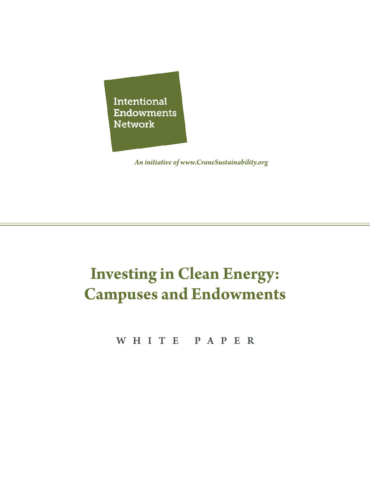Intentional **Endowments Network** 

*An initiative of www.CraneSustainability.org*

## **Investing in Clean Energy: Campuses and Endowments**

WHITE PAPER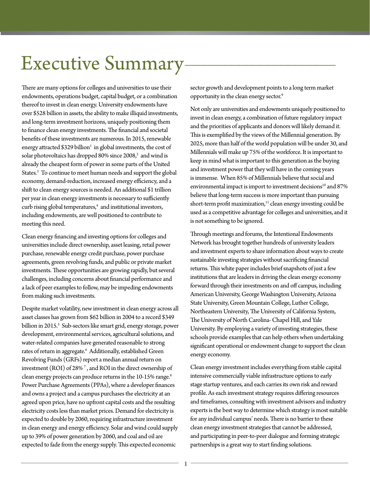## Executive Summary

There are many options for colleges and universities to use their endowments, operations budget, capital budget, or a combination thereof to invest in clean energy. University endowments have over \$528 billion in assets, the ability to make illiquid investments, and long-term investment horizons, uniquely positioning them to finance clean energy investments. The financial and societal benefits of these investments are numerous. In 2015, renewable energy attracted \$329 billion $^1$  in global investments, the cost of solar photovoltaics has dropped 80% since  $2008<sup>2</sup>$  and wind is already the cheapest form of power in some parts of the United States.3 To continue to meet human needs and support the global economy, demand-reduction, increased energy efficiency, and a shift to clean energy sources is needed. An additional \$1 trillion per year in clean energy investments is necessary to sufficiently curb rising global temperatures,<sup>4</sup> and institutional investors, including endowments, are well positioned to contribute to meeting this need.

Clean energy financing and investing options for colleges and universities include direct ownership, asset leasing, retail power purchase, renewable energy credit purchase, power purchase agreements, green revolving funds, and public or private market investments. These opportunities are growing rapidly, but several challenges, including concerns about financial performance and a lack of peer examples to follow, may be impeding endowments from making such investments.

Despite market volatility, new investment in clean energy across all asset classes has grown from \$62 billion in 2004 to a record \$349 billion in 2015.<sup>5</sup> Sub-sectors like smart grid, energy storage, power development, environmental services, agricultural solutions, and water-related companies have generated reasonable to strong rates of return in aggregate.6 Additionally, established Green Revolving Funds (GRFs) report a median annual return on investment  $(ROI)$  of 28% $^7$ , and ROI in the direct ownership of clean energy projects can produce returns in the 10-15% range.<sup>8</sup> Power Purchase Agreements (PPAs), where a developer finances and owns a project and a campus purchases the electricity at an agreed upon price, have no upfront capital costs and the resulting electricity costs less than market prices. Demand for electricity is expected to double by 2060, requiring infrastructure investment in clean energy and energy efficiency. Solar and wind could supply up to 39% of power generation by 2060, and coal and oil are expected to fade from the energy supply. This expected economic

sector growth and development points to a long term market opportunity in the clean energy sector.9

Not only are universities and endowments uniquely positioned to invest in clean energy, a combination of future regulatory impact and the priorities of applicants and donors will likely demand it. This is exemplified by the views of the Millennial generation. By 2025, more than half of the world population will be under 30, and Millennials will make up 75% of the workforce. It is important to keep in mind what is important to this generation as the buying and investment power that they will have in the coming years is immense. When 85% of Millennials believe that social and environmental impact is import to investment decisions<sup>10</sup> and 87% believe that long-term success is more important than pursuing short-term profit maximization,<sup>11</sup> clean energy investing could be used as a competitive advantage for colleges and universities, and it is not something to be ignored.

Through meetings and forums, the Intentional Endowments Network has brought together hundreds of university leaders and investment experts to share information about ways to create sustainable investing strategies without sacrificing financial returns. This white paper includes brief snapshots of just a few institutions that are leaders in driving the clean energy economy forward through their investments on and off campus, including American University, George Washington University, Arizona State University, Green Mountain College, Luther College, Northeastern University, The University of California System, The University of North Carolina- Chapel Hill, and Yale University. By employing a variety of investing strategies, these schools provide examples that can help others when undertaking significant operational or endowment change to support the clean energy economy.

Clean energy investment includes everything from stable capital intensive commercially viable infrastructure options to early stage startup ventures, and each carries its own risk and reward profile. As each investment strategy requires differing resources and timeframes, consulting with investment advisors and industry experts is the best way to determine which strategy is most suitable for any individual campus' needs. There is no barrier to these clean energy investment strategies that cannot be addressed, and participating in peer-to-peer dialogue and forming strategic partnerships is a great way to start finding solutions.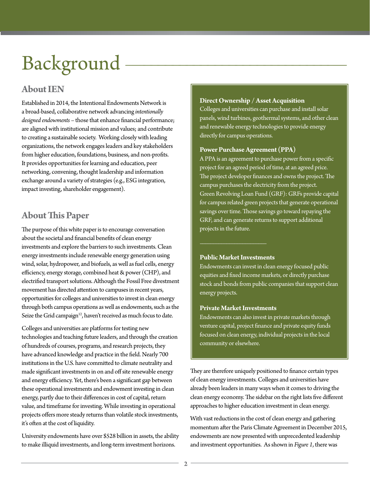# Background

## **About IEN**

Established in 2014, the Intentional Endowments Network is a broad-based, collaborative network advancing *intentionally designed endowments* – those that enhance financial performance; are aligned with institutional mission and values; and contribute to creating a sustainable society. Working closely with leading organizations, the network engages leaders and key stakeholders from higher education, foundations, business, and non-profits. It provides opportunities for learning and education, peer networking, convening, thought leadership and information exchange around a variety of strategies (e.g., ESG integration, impact investing, shareholder engagement).

## **About This Paper**

The purpose of this white paper is to encourage conversation about the societal and financial benefits of clean energy investments and explore the barriers to such investments. Clean energy investments include renewable energy generation using wind, solar, hydropower, and biofuels, as well as fuel cells, energy efficiency, energy storage, combined heat & power (CHP), and electrified transport solutions. Although the Fossil Free divestment movement has directed attention to campuses in recent years, opportunities for colleges and universities to invest in clean energy through both campus operations as well as endowments, such as the Seize the Grid campaign<sup>12</sup>, haven't received as much focus to date.

Colleges and universities are platforms for testing new technologies and teaching future leaders, and through the creation of hundreds of courses, programs, and research projects, they have advanced knowledge and practice in the field. Nearly 700 institutions in the U.S. have committed to climate neutrality and made significant investments in on and off site renewable energy and energy efficiency. Yet, there's been a significant gap between these operational investments and endowment investing in clean energy, partly due to their differences in cost of capital, return value, and timeframe for investing. While investing in operational projects offers more steady returns than volatile stock investments, it's often at the cost of liquidity.

University endowments have over \$528 billion in assets, the ability to make illiquid investments, and long-term investment horizons.

#### **Direct Ownership / Asset Acquisition**

Colleges and universities can purchase and install solar panels, wind turbines, geothermal systems, and other clean and renewable energy technologies to provide energy directly for campus operations.

#### **Power Purchase Agreement (PPA)**

A PPA is an agreement to purchase power from a specific project for an agreed period of time, at an agreed price. The project developer finances and owns the project. The campus purchases the electricity from the project. Green Revolving Loan Fund (GRF): GRFs provide capital for campus related green projects that generate operational savings over time. Those savings go toward repaying the GRF, and can generate returns to support additional projects in the future.

#### **Public Market Investments**

Endowments can invest in clean energy focused public equities and fixed income markets, or directly purchase stock and bonds from public companies that support clean energy projects.

#### **Private Market Investments**

Endowments can also invest in private markets through venture capital, project finance and private equity funds focused on clean energy, individual projects in the local community or elsewhere.

They are therefore uniquely positioned to finance certain types of clean energy investments. Colleges and universities have already been leaders in many ways when it comes to driving the clean energy economy. The sidebar on the right lists five different approaches to higher education investment in clean energy.

With vast reductions in the cost of clean energy and gathering momentum after the Paris Climate Agreement in December 2015, endowments are now presented with unprecedented leadership and investment opportunities. As shown in *Figure 1*, there was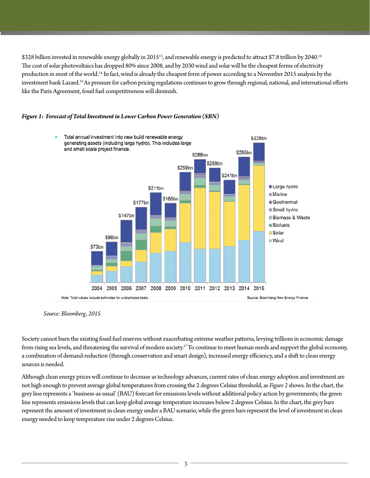\$328 billion invested in renewable energy globally in 2015<sup>13</sup>, and renewable energy is predicted to attract \$7.8 trillion by 2040.<sup>14</sup> The cost of solar photovoltaics has dropped 80% since 2008, and by 2030 wind and solar will be the cheapest forms of electricity production in most of the world.14 In fact, wind is already the cheapest form of power according to a November 2015 analysis by the investment bank Lazard.<sup>16</sup> As pressure for carbon pricing regulations continues to grow through regional, national, and international efforts like the Paris Agreement, fossil fuel competitiveness will diminish.





*Source: Bloomberg, 2015*

Society cannot burn the existing fossil fuel reserves without exacerbating extreme weather patterns, levying trillions in economic damage from rising sea levels, and threatening the survival of modern society.<sup>17</sup> To continue to meet human needs and support the global economy, a combination of demand-reduction (through conservation and smart design), increased energy efficiency, and a shift to clean energy sources is needed.

Although clean energy prices will continue to decrease as technology advances, current rates of clean energy adoption and investment are not high enough to prevent average global temperatures from crossing the 2 degrees Celsius threshold, as *Figure 2* shows. In the chart, the grey line represents a 'business-as-usual' (BAU) forecast for emissions levels without additional policy action by governments; the green line represents emissions levels that can keep global average temperature increases below 2 degrees Celsius. In the chart, the grey bars represent the amount of investment in clean energy under a BAU scenario, while the green bars represent the level of investment in clean energy needed to keep temperature rise under 2 degrees Celsius.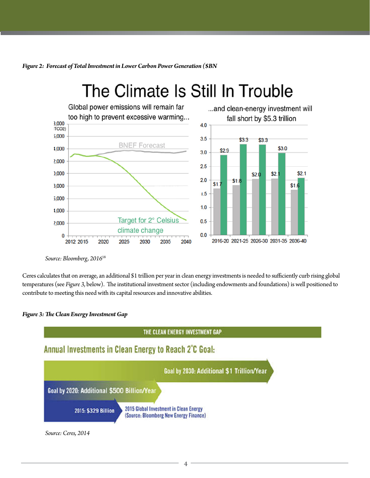*Figure 2: Forecast of Total Investment in Lower Carbon Power Generation (\$BN*

## The Climate Is Still In Trouble



*Source: Bloomberg, 2016*<sup>18</sup>

Ceres calculates that on average, an additional \$1 trillion per year in clean energy investments is needed to sufficiently curb rising global temperatures (see *Figure 3*, below). The institutional investment sector (including endowments and foundations) is well positioned to contribute to meeting this need with its capital resources and innovative abilities.

#### *Figure 3: The Clean Energy Investment Gap*

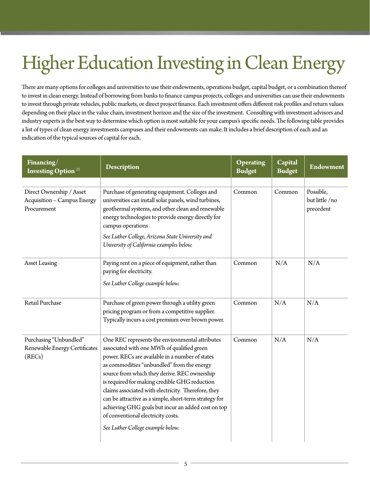# Higher Education Investing in Clean Energy

There are many options for colleges and universities to use their endowments, operations budget, capital budget, or a combination thereof to invest in clean energy. Instead of borrowing from banks to finance campus projects, colleges and universities can use their endowments to invest through private vehicles, public markets, or direct project finance. Each investment offers different risk profiles and return values depending on their place in the value chain, investment horizon and the size of the investment. Consulting with investment advisors and industry experts is the best way to determine which option is most suitable for your campus's specific needs. The following table provides a list of types of clean energy investments campuses and their endowments can make. It includes a brief description of each and an indication of the typical sources of capital for each.

| Financing/<br><b>Investing Option</b> <sup>21</sup>                    | <b>Description</b>                                                                                                                                                                                                                                                                                                                                                                                                                                                                                                                                | <b>Operating</b><br><b>Budget</b> | Capital<br><b>Budget</b> | <b>Endowment</b>                         |
|------------------------------------------------------------------------|---------------------------------------------------------------------------------------------------------------------------------------------------------------------------------------------------------------------------------------------------------------------------------------------------------------------------------------------------------------------------------------------------------------------------------------------------------------------------------------------------------------------------------------------------|-----------------------------------|--------------------------|------------------------------------------|
| Direct Ownership / Asset<br>Acquisition - Campus Energy<br>Procurement | Purchase of generating equipment. Colleges and<br>universities can install solar panels, wind turbines,<br>geothermal systems, and other clean and renewable<br>energy technologies to provide energy directly for<br>campus operations<br>See Luther College, Arizona State University and<br>University of California examples below.                                                                                                                                                                                                           | Common                            | Common                   | Possible,<br>but little /no<br>precedent |
| <b>Asset Leasing</b>                                                   | Paying rent on a piece of equipment, rather than<br>paying for electricity.<br>See Luther College example below.                                                                                                                                                                                                                                                                                                                                                                                                                                  | Common                            | N/A                      | N/A                                      |
| Retail Purchase                                                        | Purchase of green power through a utility green<br>pricing program or from a competitive supplier.<br>Typically incurs a cost premium over brown power.                                                                                                                                                                                                                                                                                                                                                                                           | Common                            | N/A                      | N/A                                      |
| Purchasing "Unbundled"<br>Renewable Energy Certificates<br>(RECs)      | One REC represents the environmental attributes<br>associated with one MWh of qualified green<br>power. RECs are available in a number of states<br>as commodities "unbundled" from the energy<br>source from which they derive. REC ownership<br>is required for making credible GHG reduction<br>claims associated with electricity. Therefore, they<br>can be attractive as a simple, short-term strategy for<br>achieving GHG goals but incur an added cost on top<br>of conventional electricity costs.<br>See Luther College example below. | Common                            | N/A                      | N/A                                      |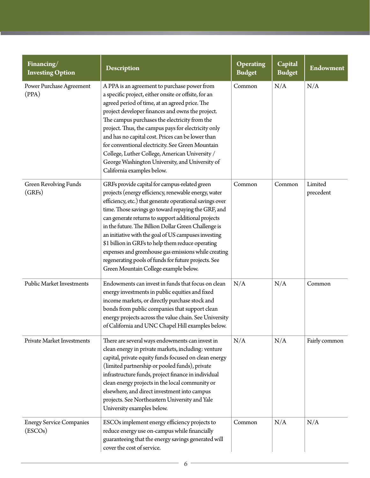| Financing/<br><b>Investing Option</b>      | <b>Description</b>                                                                                                                                                                                                                                                                                                                                                                                                                                                                                                                                                                                            | <b>Operating</b><br><b>Budget</b> | Capital<br><b>Budget</b> | Endowment            |
|--------------------------------------------|---------------------------------------------------------------------------------------------------------------------------------------------------------------------------------------------------------------------------------------------------------------------------------------------------------------------------------------------------------------------------------------------------------------------------------------------------------------------------------------------------------------------------------------------------------------------------------------------------------------|-----------------------------------|--------------------------|----------------------|
| Power Purchase Agreement<br>(PPA)          | A PPA is an agreement to purchase power from<br>a specific project, either onsite or offsite, for an<br>agreed period of time, at an agreed price. The<br>project developer finances and owns the project.<br>The campus purchases the electricity from the<br>project. Thus, the campus pays for electricity only<br>and has no capital cost. Prices can be lower than<br>for conventional electricity. See Green Mountain<br>College, Luther College, American University /<br>George Washington University, and University of<br>California examples below.                                                | Common                            | N/A                      | N/A                  |
| <b>Green Revolving Funds</b><br>(GRFs)     | GRFs provide capital for campus-related green<br>projects (energy efficiency, renewable energy, water<br>efficiency, etc.) that generate operational savings over<br>time. Those savings go toward repaying the GRF, and<br>can generate returns to support additional projects<br>in the future. The Billion Dollar Green Challenge is<br>an initiative with the goal of US campuses investing<br>\$1 billion in GRFs to help them reduce operating<br>expenses and greenhouse gas emissions while creating<br>regenerating pools of funds for future projects. See<br>Green Mountain College example below. | Common                            | Common                   | Limited<br>precedent |
| Public Market Investments                  | Endowments can invest in funds that focus on clean<br>energy investments in public equities and fixed<br>income markets, or directly purchase stock and<br>bonds from public companies that support clean<br>energy projects across the value chain. See University<br>of California and UNC Chapel Hill examples below.                                                                                                                                                                                                                                                                                      | N/A                               | N/A                      | Common               |
| Private Market Investments                 | There are several ways endowments can invest in<br>clean energy in private markets, including: venture<br>capital, private equity funds focused on clean energy<br>(limited partnership or pooled funds), private<br>infrastructure funds, project finance in individual<br>clean energy projects in the local community or<br>elsewhere, and direct investment into campus<br>projects. See Northeastern University and Yale<br>University examples below.                                                                                                                                                   | N/A                               | N/A                      | Fairly common        |
| <b>Energy Service Companies</b><br>(ESCOs) | ESCOs implement energy efficiency projects to<br>reduce energy use on-campus while financially<br>guaranteeing that the energy savings generated will<br>cover the cost of service.                                                                                                                                                                                                                                                                                                                                                                                                                           | Common                            | N/A                      | N/A                  |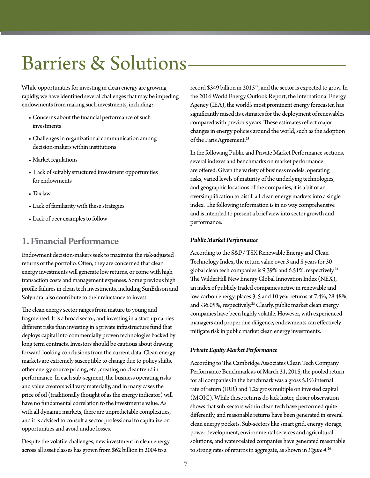## Barriers & Solutions-

While opportunities for investing in clean energy are growing rapidly, we have identified several challenges that may be impeding endowments from making such investments, including:

- Concerns about the financial performance of such investments
- Challenges in organizational communication among decision-makers within institutions
- Market regulations
- Lack of suitably structured investment opportunities for endowments
- Tax law
- Lack of familiarity with these strategies
- Lack of peer examples to follow

### **1. Financial Performance**

Endowment decision-makers seek to maximize the risk-adjusted returns of the portfolio. Often, they are concerned that clean energy investments will generate low returns, or come with high transaction costs and management expenses. Some previous high profile failures in clean tech investments, including SunEdison and Solyndra, also contribute to their reluctance to invest.

The clean energy sector ranges from mature to young and fragmented. It is a broad sector, and investing in a start-up carries different risks than investing in a private infrastructure fund that deploys capital into commercially proven technologies backed by long term contracts. Investors should be cautious about drawing forward-looking conclusions from the current data. Clean energy markets are extremely susceptible to change due to policy shifts, other energy source pricing, etc., creating no clear trend in performance. In each sub-segment, the business operating risks and value creators will vary materially, and in many cases the price of oil (traditionally thought of as the energy indicator) will have no fundamental correlation to the investment's value. As with all dynamic markets, there are unpredictable complexities, and it is advised to consult a sector professional to capitalize on opportunities and avoid undue losses.

Despite the volatile challenges, new investment in clean energy across all asset classes has grown from \$62 billion in 2004 to a

record \$349 billion in  $2015^{22}$ , and the sector is expected to grow. In the 2016 World Energy Outlook Report, the International Energy Agency (IEA), the world's most prominent energy forecaster, has significantly raised its estimates for the deployment of renewables compared with previous years. These estimates reflect major changes in energy policies around the world, such as the adoption of the Paris Agreement.<sup>23</sup>

In the following Public and Private Market Performance sections, several indexes and benchmarks on market performance are offered. Given the variety of business models, operating risks, varied levels of maturity of the underlying technologies, and geographic locations of the companies, it is a bit of an oversimplification to distill all clean energy markets into a single index. The following information is in no way comprehensive and is intended to present a brief view into sector growth and performance.

#### *Public Market Performance*

According to the S&P/ TSX Renewable Energy and Clean Technology Index, the return value over 3 and 5 years for 30 global clean tech companies is 9.39% and 6.51%, respectively.<sup>24</sup> The WilderHill New Energy Global Innovation Index (NEX), an index of publicly traded companies active in renewable and low-carbon energy, places 3, 5 and 10 year returns at 7.4%, 28.48%, and -36.05%, respectively.<sup>25</sup> Clearly, public market clean energy companies have been highly volatile. However, with experienced managers and proper due diligence, endowments can effectively mitigate risk in public market clean energy investments.

#### *Private Equity Market Performance*

According to The Cambridge Associates Clean Tech Company Performance Benchmark as of March 31, 2015, the pooled return for all companies in the benchmark was a gross 5.1% internal rate of return (IRR) and 1.2x gross multiple on invested capital (MOIC). While these returns do lack luster, closer observation shows that sub-sectors within clean tech have performed quite differently, and reasonable returns have been generated in several clean energy pockets. Sub-sectors like smart grid, energy storage, power development, environmental services and agricultural solutions, and water-related companies have generated reasonable to strong rates of returns in aggregate, as shown in *Figure 4.*<sup>26</sup>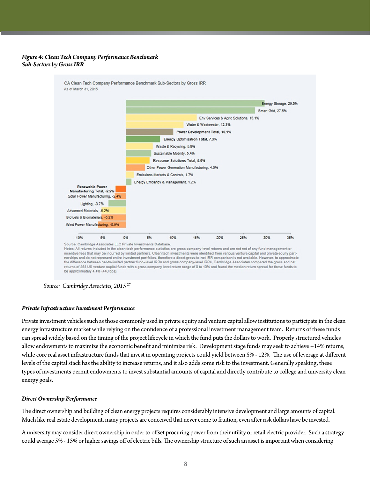#### *Figure 4: Clean Tech Company Performance Benchmark Sub-Sectors by Gross IRR*

CA Clean Tech Company Performance Benchmark Sub-Sectors by Gross IRR As of March 31, 2015



*Source: Cambridge Associates, 2015* <sup>27</sup>

#### *Private Infrastructure Investment Performance*

Private investment vehicles such as those commonly used in private equity and venture capital allow institutions to participate in the clean energy infrastructure market while relying on the confidence of a professional investment management team. Returns of these funds can spread widely based on the timing of the project lifecycle in which the fund puts the dollars to work. Properly structured vehicles allow endowments to maximize the economic benefit and minimize risk. Development stage funds may seek to achieve +14% returns, while core real asset infrastructure funds that invest in operating projects could yield between 5% - 12%. The use of leverage at different levels of the capital stack has the ability to increase returns, and it also adds some risk to the investment. Generally speaking, these types of investments permit endowments to invest substantial amounts of capital and directly contribute to college and university clean energy goals.

#### *Direct Ownership Performance*

The direct ownership and building of clean energy projects requires considerably intensive development and large amounts of capital. Much like real estate development, many projects are conceived that never come to fruition, even after risk dollars have be invested.

A university may consider direct ownership in order to offset procuring power from their utility or retail electric provider. Such a strategy could average 5% - 15% or higher savings off of electric bills. The ownership structure of such an asset is important when considering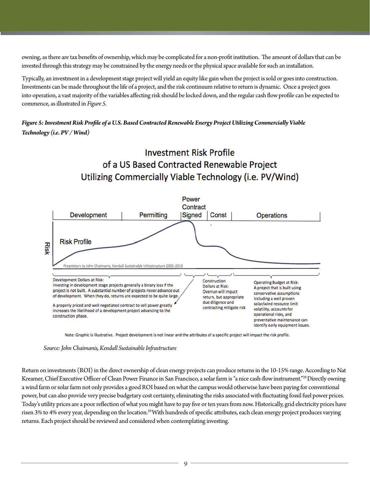owning, as there are tax benefits of ownership, which may be complicated for a non-profit institution. The amount of dollars that can be invested through this strategy may be constrained by the energy needs or the physical space available for such an installation.

Typically, an investment in a development stage project will yield an equity like gain when the project is sold or goes into construction. Investments can be made throughout the life of a project, and the risk continuum relative to return is dynamic. Once a project goes into operation, a vast majority of the variables affecting risk should be locked down, and the regular cash flow profile can be expected to commence, as illustrated in *Figure 5.*

*Figure 5: Investment Risk Profile of a U.S. Based Contracted Renewable Energy Project Utilizing Commercially Viable Technology (i.e. PV / Wind)*





Note: Graphic is illustrative. Project development is not linear and the attributes of a specific project will impact the risk profile.

*Source: John Chaimanis, Kendall Sustainable Infrastructure*

Return on investments (ROI) in the direct ownership of clean energy projects can produce returns in the 10-15% range. According to Nat Kreamer, Chief Executive Officer of Clean Power Finance in San Francisco, a solar farm is "a nice cash-flow instrument."<sup>28</sup> Directly owning a wind farm or solar farm not only provides a good ROI based on what the campus would otherwise have been paying for conventional power, but can also provide very precise budgetary cost certainty, eliminating the risks associated with fluctuating fossil fuel power prices. Today's utility prices are a poor reflection of what you might have to pay five or ten years from now. Historically, grid electricity prices have risen 3% to 4% every year, depending on the location.29 With hundreds of specific attributes, each clean energy project produces varying returns. Each project should be reviewed and considered when contemplating investing.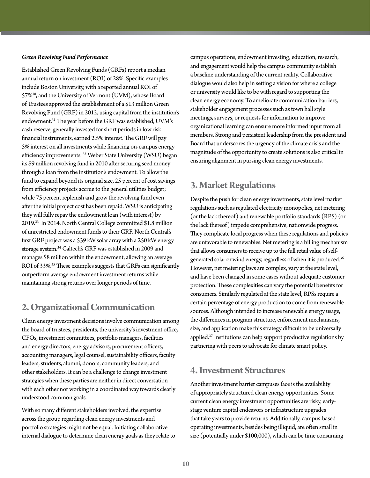#### *Green Revolving Fund Performance*

Established Green Revolving Funds (GRFs) report a median annual return on investment (ROI) of 28%. Specific examples include Boston University, with a reported annual ROI of 57%<sup>30</sup>, and the University of Vermont (UVM), whose Board of Trustees approved the establishment of a \$13 million Green Revolving Fund (GRF) in 2012, using capital from the institution's endowment.<sup>31</sup> The year before the GRF was established, UVM's cash reserve, generally invested for short periods in low risk financial instruments, earned 2.5% interest. The GRF will pay 5% interest on all investments while financing on-campus energy efficiency improvements. 32 Weber State University (WSU) began its \$9 million revolving fund in 2010 after securing seed money through a loan from the institution's endowment. To allow the fund to expand beyond its original size, 25 percent of cost savings from efficiency projects accrue to the general utilities budget; while 75 percent replenish and grow the revolving fund even after the initial project cost has been repaid. WSU is anticipating they will fully repay the endowment loan (with interest) by 2019.33 In 2014, North Central College committed \$1.8 million of unrestricted endowment funds to their GRF. North Central's first GRF project was a 539 kW solar array with a 250 kW energy storage system.34 Caltech's GRF was established in 2009 and manages \$8 million within the endowment, allowing an average ROI of 33%.<sup>35</sup> These examples suggests that GRFs can significantly outperform average endowment investment returns while maintaining strong returns over longer periods of time.

## **2. Organizational Communication**

Clean energy investment decisions involve communication among the board of trustees, presidents, the university's investment office, CFOs, investment committees, portfolio managers, facilities and energy directors, energy advisors, procurement officers, accounting managers, legal counsel, sustainability officers, faculty leaders, students, alumni, donors, community leaders, and other stakeholders. It can be a challenge to change investment strategies when these parties are neither in direct conversation with each other nor working in a coordinated way towards clearly understood common goals.

With so many different stakeholders involved, the expertise across the group regarding clean energy investments and portfolio strategies might not be equal. Initiating collaborative internal dialogue to determine clean energy goals as they relate to campus operations, endowment investing, education, research, and engagement would help the campus community establish a baseline understanding of the current reality. Collaborative dialogue would also help in setting a vision for where a college or university would like to be with regard to supporting the clean energy economy. To ameliorate communication barriers, stakeholder engagement processes such as town hall style meetings, surveys, or requests for information to improve organizational learning can ensure more informed input from all members. Strong and persistent leadership from the president and Board that underscores the urgency of the climate crisis and the magnitude of the opportunity to create solutions is also critical in ensuring alignment in pursing clean energy investments.

## **3. Market Regulations**

Despite the push for clean energy investments, state level market regulations such as regulated electricity monopolies, net metering (or the lack thereof) and renewable portfolio standards (RPS) (or the lack thereof) impede comprehensive, nationwide progress. They complicate local progress when these regulations and policies are unfavorable to renewables. Net metering is a billing mechanism that allows consumers to receive up to the full retail value of selfgenerated solar or wind energy, regardless of when it is produced.36 However, net metering laws are complex, vary at the state level, and have been changed in some cases without adequate customer protection. These complexities can vary the potential benefits for consumers. Similarly regulated at the state level, RPSs require a certain percentage of energy production to come from renewable sources. Although intended to increase renewable energy usage, the differences in program structure, enforcement mechanisms, size, and application make this strategy difficult to be universally applied.37 Institutions can help support productive regulations by partnering with peers to advocate for climate smart policy.

### **4. Investment Structures**

Another investment barrier campuses face is the availability of appropriately structured clean energy opportunities. Some current clean energy investment opportunities are risky, earlystage venture capital endeavors or infrastructure upgrades that take years to provide returns. Additionally, campus-based operating investments, besides being illiquid, are often small in size (potentially under \$100,000), which can be time consuming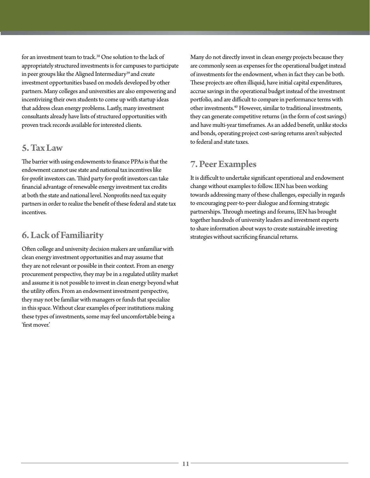for an investment team to track.<sup>38</sup> One solution to the lack of appropriately structured investments is for campuses to participate in peer groups like the Aligned Intermediary<sup>39</sup> and create investment opportunities based on models developed by other partners. Many colleges and universities are also empowering and incentivizing their own students to come up with startup ideas that address clean energy problems. Lastly, many investment consultants already have lists of structured opportunities with proven track records available for interested clients.

### **5. Tax Law**

The barrier with using endowments to finance PPAs is that the endowment cannot use state and national tax incentives like for-profit investors can. Third party for-profit investors can take financial advantage of renewable energy investment tax credits at both the state and national level. Nonprofits need tax equity partners in order to realize the benefit of these federal and state tax incentives.

## **6. Lack of Familiarity**

Often college and university decision makers are unfamiliar with clean energy investment opportunities and may assume that they are not relevant or possible in their context. From an energy procurement perspective, they may be in a regulated utility market and assume it is not possible to invest in clean energy beyond what the utility offers. From an endowment investment perspective, they may not be familiar with managers or funds that specialize in this space. Without clear examples of peer institutions making these types of investments, some may feel uncomfortable being a 'first mover.'

Many do not directly invest in clean energy projects because they are commonly seen as expenses for the operational budget instead of investments for the endowment, when in fact they can be both. These projects are often illiquid, have initial capital expenditures, accrue savings in the operational budget instead of the investment portfolio, and are difficult to compare in performance terms with other investments.40 However, similar to traditional investments, they can generate competitive returns (in the form of cost savings) and have multi-year timeframes. As an added benefit, unlike stocks and bonds, operating project cost-saving returns aren't subjected to federal and state taxes.

## **7. Peer Examples**

It is difficult to undertake significant operational and endowment change without examples to follow. IEN has been working towards addressing many of these challenges, especially in regards to encouraging peer-to-peer dialogue and forming strategic partnerships. Through meetings and forums, IEN has brought together hundreds of university leaders and investment experts to share information about ways to create sustainable investing strategies without sacrificing financial returns.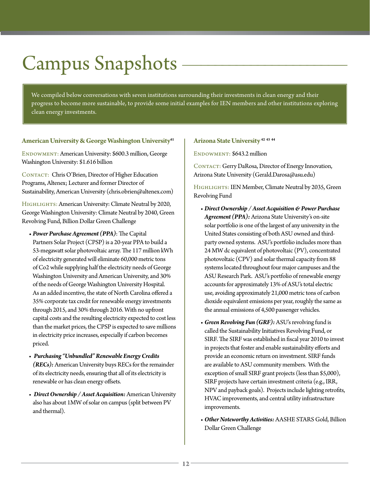# Campus Snapshots

We compiled below conversations with seven institutions surrounding their investments in clean energy and their progress to become more sustainable, to provide some initial examples for IEN members and other institutions exploring clean energy investments.

#### **American University & George Washington University41**

ENDOWMENT: American University: \$600.3 million, George Washington University: \$1.616 billion

CONTACT: Chris O'Brien, Director of Higher Education Programs, Altenex; Lecturer and former Director of Sustainability, American University (chris.obrien@altenex.com)

HIGHLIGHTS: American University: Climate Neutral by 2020, George Washington University: Climate Neutral by 2040, Green Revolving Fund, Billion Dollar Green Challenge

- *• Power Purchase Agreement (PPA)*: The Capital Partners Solar Project (CPSP) is a 20-year PPA to build a 53-megawatt solar photovoltaic array. The 117 million kWh of electricity generated will eliminate 60,000 metric tons of Co2 while supplying half the electricity needs of George Washington University and American University, and 30% of the needs of George Washington University Hospital. As an added incentive, the state of North Carolina offered a 35% corporate tax credit for renewable energy investments through 2015, and 30% through 2016. With no upfront capital costs and the resulting electricity expected to cost less than the market prices, the CPSP is expected to save millions in electricity price increases, especially if carbon becomes priced.
- *Purchasing "Unbundled" Renewable Energy Credits (RECs):* American University buys RECs for the remainder of its electricity needs, ensuring that all of its electricity is renewable or has clean energy offsets.
- *Direct Ownership / Asset Acquisition:* American University also has about 1MW of solar on campus (split between PV and thermal).

#### **Arizona State University 42 43 44**

ENDOWMENT: \$643.2 million

CONTACT: Gerry DaRosa, Director of Energy Innovation, Arizona State University (Gerald.Darosa@asu.edu)

HIGHLIGHTS: IEN Member, Climate Neutral by 2035, Green Revolving Fund

- *Direct Ownership / Asset Acquisition & Power Purchase Agreement (PPA):* Arizona State University's on-site solar portfolio is one of the largest of any university in the United States consisting of both ASU owned and thirdparty owned systems. ASU's portfolio includes more than 24 MW dc equivalent of photovoltaic (PV), concentrated photovoltaic (CPV) and solar thermal capacity from 88 systems located throughout four major campuses and the ASU Research Park. ASU's portfolio of renewable energy accounts for approximately 13% of ASU's total electric use, avoiding approximately 21,000 metric tons of carbon dioxide equivalent emissions per year, roughly the same as the annual emissions of 4,500 passenger vehicles.
- *Green Revolving Fun (GRF):* ASU's revolving fund is called the Sustainability Initiatives Revolving Fund, or SIRF. The SIRF was established in fiscal year 2010 to invest in projects that foster and enable sustainability efforts and provide an economic return on investment. SIRF funds are available to ASU community members. With the exception of small SIRF grant projects (less than \$5,000), SIRF projects have certain investment criteria (e.g., IRR, NPV and payback goals). Projects include lighting retrofits, HVAC improvements, and central utility infrastructure improvements.
- *Other Noteworthy Activities:* AASHE STARS Gold, Billion Dollar Green Challenge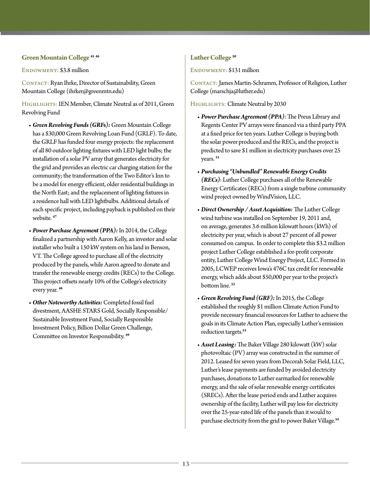#### **Green Mountain College 45 46**

ENDOWMENT: \$3.8 million

CONTACT: Ryan Ihrke, Director of Sustainability, Green Mountain College (ihrker@greenmtn.edu)

HIGHLIGHTS: IEN Member, Climate Neutral as of 2011, Green Revolving Fund

- *Green Revolving Funds (GRFs):* Green Mountain College has a \$30,000 Green Revolving Loan Fund (GRLF). To date, the GRLF has funded four energy projects: the replacement of all 80 outdoor lighting fixtures with LED light bulbs; the installation of a solar PV array that generates electricity for the grid and provides an electric car charging station for the community; the transformation of the Two Editor's Inn to be a model for energy efficient, older residential buildings in the North East; and the replacement of lighting fixtures in a residence hall with LED lightbulbs. Additional details of each specific project, including payback is published on their website. **<sup>47</sup>**
- *Power Purchase Agreement (PPA):* In 2014, the College finalized a partnership with Aaron Kelly, an investor and solar installer who built a 150 kW system on his land in Benson, VT. The College agreed to purchase all of the electricity produced by the panels, while Aaron agreed to donate and transfer the renewable energy credits (RECs) to the College. This project offsets nearly 10% of the College's electricity every year. **<sup>48</sup>**
- *Other Noteworthy Activities:* Completed fossil fuel divestment, AASHE STARS Gold, Socially Responsible/ Sustainable Investment Fund, Socially Responsible Investment Policy, Billion Dollar Green Challenge, Committee on Investor Responsibility. **<sup>49</sup>**

#### **Luther College 50**

ENDOWMENT: \$131 million

CONTACT: James Martin-Schramm, Professor of Religion, Luther College (marschja@luther.edu)

HIGHLIGHTS: Climate Neutral by 2030

- *Power Purchase Agreement (PPA)*: The Preus Library and Regents Center PV arrays were financed via a third party PPA at a fixed price for ten years. Luther College is buying both the solar power produced and the RECs, and the project is predicted to save \$1 million in electricity purchases over 25 years. **<sup>51</sup>**
- *Purchasing "Unbundled" Renewable Energy Credits (RECs)*: Luther College purchases all of the Renewable Energy Certificates (RECs) from a single turbine community wind project owned by WindVision, LLC.
- *Direct Ownership / Asset Acquisition:* The Luther College wind turbine was installed on September 19, 2011 and, on average, generates 3.6 million kilowatt hours (kWh) of electricity per year, which is about 27 percent of all power consumed on campus. In order to complete this \$3.2 million project Luther College established a for-profit corporate entity, Luther College Wind Energy Project, LLC. Formed in 2005, LCWEP receives Iowa's 476C tax credit for renewable energy, which adds about \$50,000 per year to the project's bottom line. **<sup>52</sup>**
- *Green Revolving Fund (GRF):* In 2015, the College established the roughly \$1 million Climate Action Fund to provide necessary financial resources for Luther to achieve the goals in its Climate Action Plan, especially Luther's emission reduction targets.**<sup>53</sup>**
- *Asset Leasing:* The Baker Village 280 kilowatt (kW) solar photovoltaic (PV) array was constructed in the summer of 2012. Leased for seven years from Decorah Solar Field, LLC, Luther's lease payments are funded by avoided electricity purchases, donations to Luther earmarked for renewable energy, and the sale of solar renewable energy certificates (SRECs). After the lease period ends and Luther acquires ownership of the facility, Luther will pay less for electricity over the 25-year-rated life of the panels than it would to purchase electricity from the grid to power Baker Village.**54**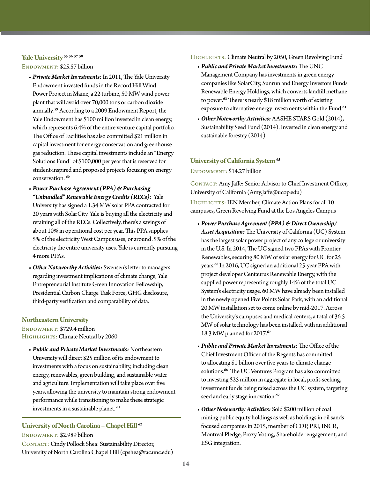#### **Yale University 55 56 57 58**

#### ENDOWMENT: \$25.57 billion

- *Private Market Investments:* In 2011, The Yale University Endowment invested funds in the Record Hill Wind Power Project in Maine, a 22 turbine, 50 MW wind power plant that will avoid over 70,000 tons or carbon dioxide annually.**<sup>59</sup>** According to a 2009 Endowment Report, the Yale Endowment has \$100 million invested in clean energy, which represents 6.4% of the entire venture capital portfolio. The Office of Facilities has also committed \$21 million in capital investment for energy conservation and greenhouse gas reduction. These capital investments include an "Energy Solutions Fund" of \$100,000 per year that is reserved for student-inspired and proposed projects focusing on energy conservation. **<sup>60</sup>**
- *Power Purchase Agreement (PPA) & Purchasing "Unbundled" Renewable Energy Credits (RECs):* Yale University has signed a 1.34 MW solar PPA contracted for 20 years with SolarCity. Yale is buying all the electricity and retaining all of the RECs. Collectively, there's a savings of about 10% in operational cost per year. This PPA supplies 5% of the electricity West Campus uses, or around .5% of the electricity the entire university uses. Yale is currently pursuing 4 more PPAs.
- *Other Noteworthy Activities:* Swensen's letter to managers regarding investment implications of climate change, Yale Entrepreneurial Institute Green Innovation Fellowship, Presidential Carbon Charge Task Force, GHG disclosure, third-party verification and comparability of data.

#### **Northeastern University**

ENDOWMENT: \$729.4 million Highlights: Climate Neutral by 2060

• *Public and Private Market Investments:* Northeastern University will direct \$25 million of its endowment to investments with a focus on sustainability, including clean energy, renewables, green building, and sustainable water and agriculture. Implementation will take place over five years, allowing the university to maintain strong endowment performance while transitioning to make these strategic investments in a sustainable planet. **<sup>61</sup>**

### **University of North Carolina – Chapel Hill <sup>62</sup>**

ENDOWMENT: \$2.989 billion CONTACT: Cindy Pollock Shea: Sustainability Director, University of North Carolina Chapel Hill (cpshea@fac.unc.edu)

#### HIGHLIGHTS: Climate Neutral by 2050, Green Revolving Fund

- *Public and Private Market Investments:* The UNC Management Company has investments in green energy companies like SolarCity, Sunrun and Energy Investors Funds Renewable Energy Holdings, which converts landfill methane to power.**<sup>63</sup>**There is nearly \$18 million worth of existing exposure to alternative energy investments within the Fund.**<sup>64</sup>**
- *Other Noteworthy Activities:* AASHE STARS Gold (2014), Sustainability Seed Fund (2014), Invested in clean energy and sustainable forestry (2014).

## **University of California System 65**

ENDOWMENT: \$14.27 billion

CONTACT: Amy Jaffe: Senior Advisor to Chief Investment Officer, University of California (Amy.Jaffe@ucop.edu)

HIGHLIGHTS: IEN Member, Climate Action Plans for all 10 campuses, Green Revolving Fund at the Los Angeles Campus

- *Power Purchase Agreement (PPA) & Direct Ownership/ Asset Acquisition:* The University of California (UC) System has the largest solar power project of any college or university in the U.S. In 2014, The UC signed two PPAs with Frontier Renewables, securing 80 MW of solar energy for UC for 25 years.**<sup>66</sup>** In 2016, UC signed an additional 25-year PPA with project developer Centaurus Renewable Energy, with the supplied power representing roughly 14% of the total UC System's electricity usage. 60 MW have already been installed in the newly opened Five Points Solar Park, with an additional 20 MW installation set to come online by mid-2017. Across the University's campuses and medical centers, a total of 36.5 MW of solar technology has been installed, with an additional 18.3 MW planned for 2017.**<sup>67</sup>**
- *Public and Private Market Investments:* The Office of the Chief Investment Officer of the Regents has committed to allocating \$1 billion over five years to climate change solutions.**<sup>68</sup>** The UC Ventures Program has also committed to investing \$25 million in aggregate in local, profit-seeking, investment funds being raised across the UC system, targeting seed and early stage innovation.**<sup>69</sup>**
- *Other Noteworthy Activities:* Sold \$200 million of coal mining public equity holdings as well as holdings in oil sands focused companies in 2015, member of CDP, PRI, INCR, Montreal Pledge, Proxy Voting, Shareholder engagement, and ESG integration.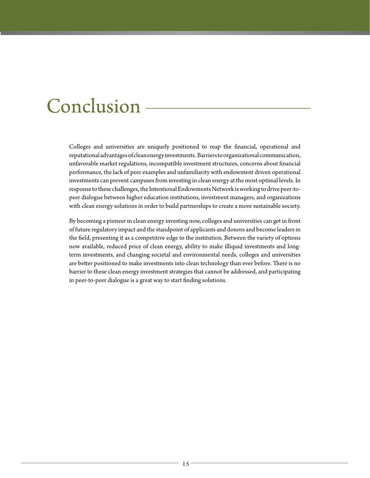## Conclusion

Colleges and universities are uniquely positioned to reap the financial, operational and reputational advantages of clean energy investments. Barriers to organizational communication, unfavorable market regulations, incompatible investment structures, concerns about financial performance, the lack of peer examples and unfamiliarity with endowment driven operational investments can prevent campuses from investing in clean energy at the most optimal levels. In response to these challenges, the Intentional Endowments Network is working to drive peer-topeer dialogue between higher education institutions, investment managers, and organizations with clean energy solutions in order to build partnerships to create a more sustainable society.

By becoming a pioneer in clean energy investing now, colleges and universities can get in front of future regulatory impact and the standpoint of applicants and donors and become leaders in the field, presenting it as a competitive edge to the institution. Between the variety of options now available, reduced price of clean energy, ability to make illiquid investments and longterm investments, and changing societal and environmental needs, colleges and universities are better positioned to make investments into clean technology than ever before. There is no barrier to these clean energy investment strategies that cannot be addressed, and participating in peer-to-peer dialogue is a great way to start finding solutions.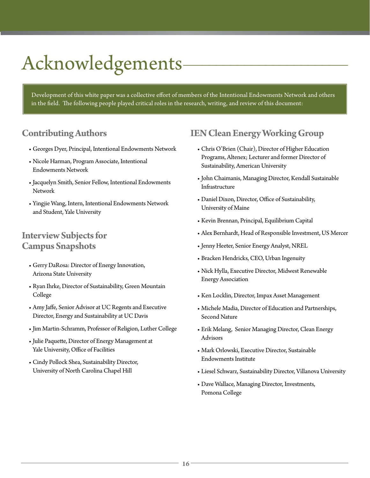# Acknowledgements

Development of this white paper was a collective effort of members of the Intentional Endowments Network and others in the field. The following people played critical roles in the research, writing, and review of this document:

## **Contributing Authors**

- Georges Dyer, Principal, Intentional Endowments Network
- Nicole Harman, Program Associate, Intentional Endowments Network
- Jacquelyn Smith, Senior Fellow, Intentional Endowments Network
- Yingjie Wang, Intern, Intentional Endowments Network and Student, Yale University

### **Interview Subjects for Campus Snapshots**

- Gerry DaRosa: Director of Energy Innovation, Arizona State University
- Ryan Ihrke, Director of Sustainability, Green Mountain College
- Amy Jaffe, Senior Advisor at UC Regents and Executive Director, Energy and Sustainability at UC Davis
- Jim Martin-Schramm, Professor of Religion, Luther College
- Julie Paquette, Director of Energy Management at Yale University, Office of Facilities
- Cindy Pollock Shea, Sustainability Director, University of North Carolina Chapel Hill

## **IEN Clean Energy Working Group**

- Chris O'Brien (Chair), Director of Higher Education Programs, Altenex; Lecturer and former Director of Sustainability, American University
- John Chaimanis, Managing Director, Kendall Sustainable Infrastructure
- Daniel Dixon, Director, Office of Sustainability, University of Maine
- Kevin Brennan, Principal, Equilibrium Capital
- Alex Bernhardt, Head of Responsible Investment, US Mercer
- Jenny Heeter, Senior Energy Analyst, NREL
- Bracken Hendricks, CEO, Urban Ingenuity
- Nick Hylla, Executive Director, Midwest Renewable Energy Association
- Ken Locklin, Director, Impax Asset Management
- Michele Madia, Director of Education and Partnerships, Second Nature
- Erik Melang, Senior Managing Director, Clean Energy Advisors
- Mark Orlowski, Executive Director, Sustainable Endowments Institute
- Liesel Schwarz, Sustainability Director, Villanova University
- Dave Wallace, Managing Director, Investments, Pomona College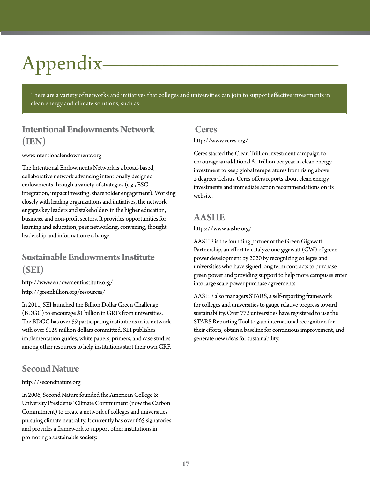# Appendix

There are a variety of networks and initiatives that colleges and universities can join to support effective investments in clean energy and climate solutions, such as:

## **Intentional Endowments Network (IEN)**

#### www.intentionalendowments.org

The Intentional Endowments Network is a broad-based, collaborative network advancing intentionally designed endowments through a variety of strategies (e.g., ESG integration, impact investing, shareholder engagement). Working closely with leading organizations and initiatives, the network engages key leaders and stakeholders in the higher education, business, and non-profit sectors. It provides opportunities for learning and education, peer networking, convening, thought leadership and information exchange.

## **Sustainable Endowments Institute (SEI)**

http://www.endowmentinstitute.org/ http://greenbillion.org/resources/

In 2011, SEI launched the Billion Dollar Green Challenge (BDGC) to encourage \$1 billion in GRFs from universities. The BDGC has over 59 participating institutions in its network with over \$125 million dollars committed. SEI publishes implementation guides, white papers, primers, and case studies among other resources to help institutions start their own GRF.

## **Second Nature**

#### http://secondnature.org

In 2006, Second Nature founded the American College & University Presidents' Climate Commitment (now the Carbon Commitment) to create a network of colleges and universities pursuing climate neutrality. It currently has over 665 signatories and provides a framework to support other institutions in promoting a sustainable society.

#### **Ceres**

http://www.ceres.org/

Ceres started the Clean Trillion investment campaign to encourage an additional \$1 trillion per year in clean energy investment to keep global temperatures from rising above 2 degrees Celsius. Ceres offers reports about clean energy investments and immediate action recommendations on its website.

### **AASHE**

#### https://www.aashe.org/

AASHE is the founding partner of the Green Gigawatt Partnership, an effort to catalyze one gigawatt (GW) of green power development by 2020 by recognizing colleges and universities who have signed long term contracts to purchase green power and providing support to help more campuses enter into large scale power purchase agreements.

AASHE also managers STARS, a self-reporting framework for colleges and universities to gauge relative progress toward sustainability. Over 772 universities have registered to use the STARS Reporting Tool to gain international recognition for their efforts, obtain a baseline for continuous improvement, and generate new ideas for sustainability.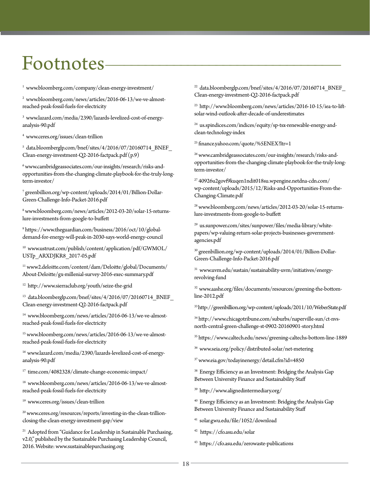## Footnotes—––––––––––––––––––––––––––––—

1 www.bloomberg.com/company/clean-energy-investment/

2 www.bloomberg.com/news/articles/2016-06-13/we-ve-almostreached-peak-fossil-fuels-for-electricity

3 www.lazard.com/media/2390/lazards-levelized-cost-of-energyanalysis-90.pdf

4 www.ceres.org/issues/clean-trillion

5 data.bloomberglp.com/bnef/sites/4/2016/07/20160714\_BNEF\_ Clean-energy-investment-Q2-2016-factpack.pdf (p.9)

 $^6$ www.cambridgeassociates.com/our-insights/research/risks-andopportunities-from-the-changing-climate-playbook-for-the-truly-longterm-investor/

7 greenbillion.org/wp-content/uploads/2014/01/Billion-Dollar-Green-Challenge-Info-Packet-2016.pdf

8 www.bloomberg.com/news/articles/2012-03-20/solar-15-returnslure-investments-from-google-to-buffett

9 https://www.theguardian.com/business/2016/oct/10/globaldemand-for-energy-will-peak-in-2030-says-world-energy-council

10 www.ustrust.com/publish/content/application/pdf/GWMOL/ USTp\_ARXDJKR8\_2017-05.pdf

11 www2.deloitte.com/content/dam/Deloitte/global/Documents/ About-Deloitte/gx-millenial-survey-2016-exec-summary.pdf

12 http://www.sierraclub.org/youth/seize-the-grid

<sup>13</sup> data.bloomberglp.com/bnef/sites/4/2016/07/20160714\_BNEF\_ Clean-energy-investment-Q2-2016-factpack.pdf

14 www.bloomberg.com/news/articles/2016-06-13/we-ve-almostreached-peak-fossil-fuels-for-electricity

15 www.bloomberg.com/news/articles/2016-06-13/we-ve-almostreached-peak-fossil-fuels-for-electricity

16 www.lazard.com/media/2390/lazards-levelized-cost-of-energyanalysis-90.pdf

17 time.com/4082328/climate-change-economic-impact/

18 www.bloomberg.com/news/articles/2016-06-13/we-ve-almostreached-peak-fossil-fuels-for-electricity

19 www.ceres.org/issues/clean-trillion

20 www.ceres.org/resources/reports/investing-in-the-clean-trillionclosing-the-clean-energy-investment-gap/view

<sup>21</sup> Adopted from "Guidance for Leadership in Sustainable Purchasing, v2.0," published by the Sustainable Purchasing Leadership Council, 2016. Website: www.sustainablepurchasing.org

<sup>22</sup> data.bloomberglp.com/bnef/sites/4/2016/07/20160714\_BNEF Clean-energy-investment-Q2-2016-factpack.pdf

23 http://www.bloomberg.com/news/articles/2016-10-15/iea-to-liftsolar-wind-outlook-after-decade-of-underestimates

<sup>24</sup> us.spindices.com/indices/equity/sp-tsx-renewable-energy-andclean-technology-index

25 finance.yahoo.com/quote/%5ENEX?ltr=1

26 www.cambridgeassociates.com/our-insights/research/risks-andopportunities-from-the-changing-climate-playbook-for-the-truly-longterm-investor/

27 40926u2govf9kuqen1ndit018su.wpengine.netdna-cdn.com/ wp-content/uploads/2015/12/Risks-and-Opportunities-From-the-Changing-Climate.pdf

28 www.bloomberg.com/news/articles/2012-03-20/solar-15-returnslure-investments-from-google-to-buffett

29 us.sunpower.com/sites/sunpower/files/media-library/whitepapers/wp-valuing-return-solar-projects-businesses-governmentagencies.pdf

30 greenbillion.org/wp-content/uploads/2014/01/Billion-Dollar-Green-Challenge-Info-Packet-2016.pdf

31 www.uvm.edu/sustain/sustainability-uvm/initiatives/energyrevolving-fund

32 www.aashe.org/files/documents/resources/greening-the-bottomline-2012.pdf

33 http://greenbillion.org/wp-content/uploads/2011/10/WeberState.pdf

34 http://www.chicagotribune.com/suburbs/naperville-sun/ct-nvsnorth-central-green-challenge-st-0902-20160901-story.html

35 https://www.caltech.edu/news/greening-caltechs-bottom-line-1889

36 www.seia.org/policy/distributed-solar/net-metering

37 www.eia.gov/todayinenergy/detail.cfm?id=4850

<sup>38</sup> Energy Efficiency as an Investment: Bridging the Analysis Gap Between University Finance and Sustainability Staff

39 http://www.alignedintermediary.org/

40 Energy Efficiency as an Investment: Bridging the Analysis Gap Between University Finance and Sustainability Staff

41 solar.gwu.edu/file/1052/download

42 https://cfo.asu.edu/solar

43 https://cfo.asu.edu/zerowaste-publications